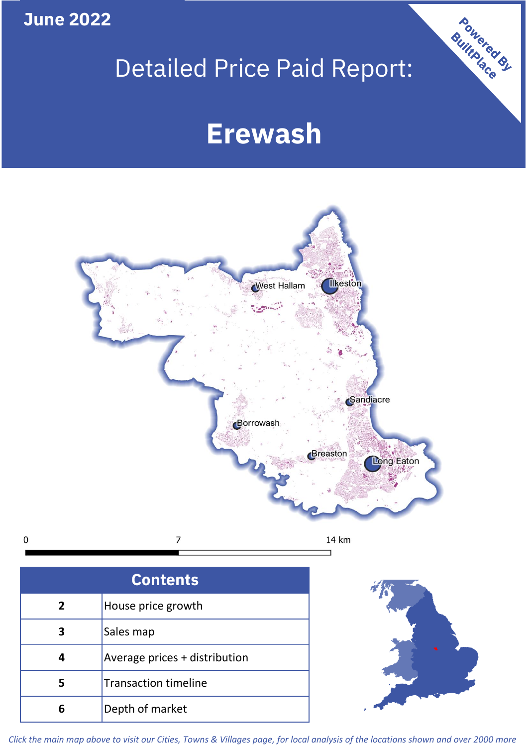**June 2022**

 $\mathbf 0$ 

## Detailed Price Paid Report:

# **Erewash**



| <b>Contents</b> |                               |  |  |
|-----------------|-------------------------------|--|--|
| $\overline{2}$  | House price growth            |  |  |
| 3               | Sales map                     |  |  |
| 4               | Average prices + distribution |  |  |
| 5               | <b>Transaction timeline</b>   |  |  |
|                 | Depth of market               |  |  |



Powered By

*Click the main map above to visit our Cities, Towns & Villages page, for local analysis of the locations shown and over 2000 more*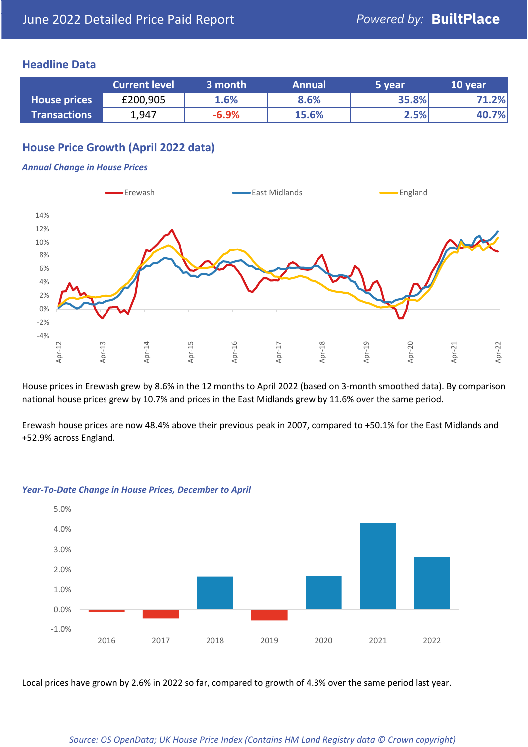#### **Headline Data**

|                     | <b>Current level</b> | 3 month | <b>Annual</b> | '5 vear | 10 year |
|---------------------|----------------------|---------|---------------|---------|---------|
| <b>House prices</b> | £200,905             | 1.6%    | 8.6%          | 35.8%   | 1.2%    |
| <b>Transactions</b> | 1,947                | $-6.9%$ | 15.6%         | 2.5%    | 40.7%   |

### **House Price Growth (April 2022 data)**

#### *Annual Change in House Prices*



House prices in Erewash grew by 8.6% in the 12 months to April 2022 (based on 3-month smoothed data). By comparison national house prices grew by 10.7% and prices in the East Midlands grew by 11.6% over the same period.

Erewash house prices are now 48.4% above their previous peak in 2007, compared to +50.1% for the East Midlands and +52.9% across England.



#### *Year-To-Date Change in House Prices, December to April*

Local prices have grown by 2.6% in 2022 so far, compared to growth of 4.3% over the same period last year.

#### *Source: OS OpenData; UK House Price Index (Contains HM Land Registry data © Crown copyright)*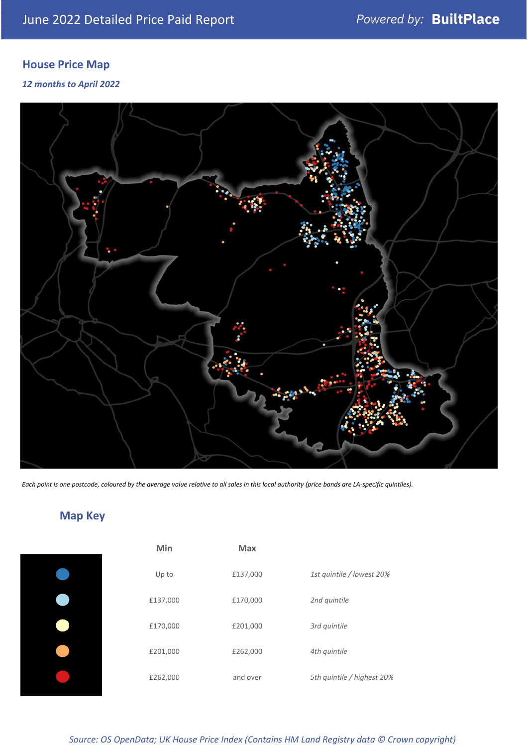### **House Price Map**

#### *12 months to April 2022*



*Each point is one postcode, coloured by the average value relative to all sales in this local authority (price bands are LA-specific quintiles).*

### **Map Key**

| Min      | <b>Max</b> |                            |
|----------|------------|----------------------------|
| Up to    | £137,000   | 1st quintile / lowest 20%  |
| £137,000 | £170,000   | 2nd quintile               |
| £170,000 | £201,000   | 3rd quintile               |
| £201,000 | £262,000   | 4th quintile               |
| £262,000 | and over   | 5th quintile / highest 20% |

*Source: OS OpenData; UK House Price Index (Contains HM Land Registry data © Crown copyright)*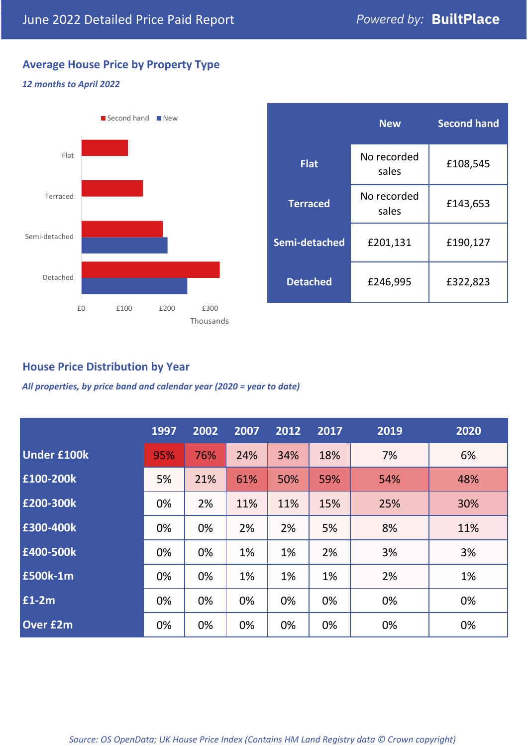### **Average House Price by Property Type**

#### *12 months to April 2022*



|                 | <b>New</b>           | <b>Second hand</b> |  |  |
|-----------------|----------------------|--------------------|--|--|
| <b>Flat</b>     | No recorded<br>sales | £108,545           |  |  |
| <b>Terraced</b> | No recorded<br>sales | £143,653           |  |  |
| Semi-detached   | £201,131             | £190,127           |  |  |
| <b>Detached</b> | £246,995             | £322,823           |  |  |

#### **House Price Distribution by Year**

*All properties, by price band and calendar year (2020 = year to date)*

|                    | 1997 | 2002 | 2007 | 2012 | 2017 | 2019 | 2020 |
|--------------------|------|------|------|------|------|------|------|
| <b>Under £100k</b> | 95%  | 76%  | 24%  | 34%  | 18%  | 7%   | 6%   |
| £100-200k          | 5%   | 21%  | 61%  | 50%  | 59%  | 54%  | 48%  |
| E200-300k          | 0%   | 2%   | 11%  | 11%  | 15%  | 25%  | 30%  |
| £300-400k          | 0%   | 0%   | 2%   | 2%   | 5%   | 8%   | 11%  |
| £400-500k          | 0%   | 0%   | 1%   | 1%   | 2%   | 3%   | 3%   |
| <b>£500k-1m</b>    | 0%   | 0%   | 1%   | 1%   | 1%   | 2%   | 1%   |
| £1-2m              | 0%   | 0%   | 0%   | 0%   | 0%   | 0%   | 0%   |
| <b>Over £2m</b>    | 0%   | 0%   | 0%   | 0%   | 0%   | 0%   | 0%   |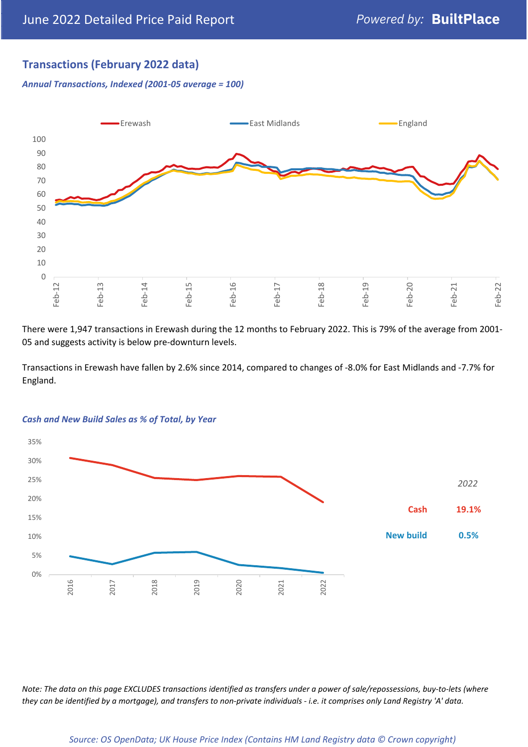#### **Transactions (February 2022 data)**

*Annual Transactions, Indexed (2001-05 average = 100)*



There were 1,947 transactions in Erewash during the 12 months to February 2022. This is 79% of the average from 2001- 05 and suggests activity is below pre-downturn levels.

Transactions in Erewash have fallen by 2.6% since 2014, compared to changes of -8.0% for East Midlands and -7.7% for England.



#### *Cash and New Build Sales as % of Total, by Year*

*Note: The data on this page EXCLUDES transactions identified as transfers under a power of sale/repossessions, buy-to-lets (where they can be identified by a mortgage), and transfers to non-private individuals - i.e. it comprises only Land Registry 'A' data.*